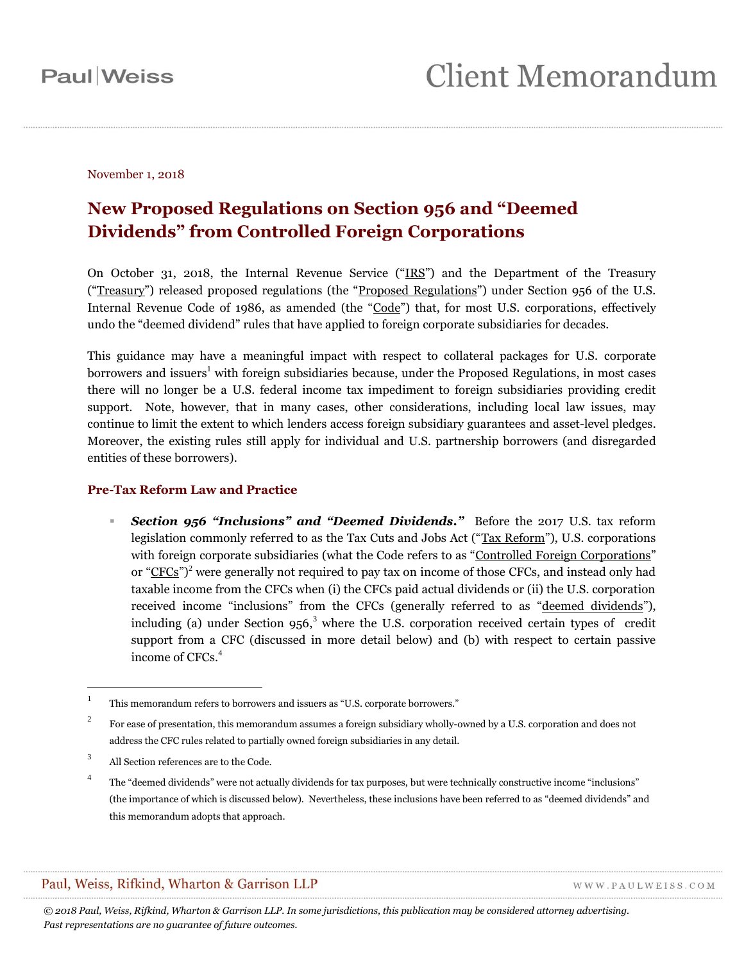November 1, 2018

### **New Proposed Regulations on Section 956 and "Deemed Dividends" from Controlled Foreign Corporations**

On October 31, 2018, the Internal Revenue Service ("IRS") and the Department of the Treasury ("Treasury") released proposed regulations (the "Proposed Regulations") under Section 956 of the U.S. Internal Revenue Code of 1986, as amended (the "Code") that, for most U.S. corporations, effectively undo the "deemed dividend" rules that have applied to foreign corporate subsidiaries for decades.

This guidance may have a meaningful impact with respect to collateral packages for U.S. corporate borrowers and issuers<sup>1</sup> with foreign subsidiaries because, under the Proposed Regulations, in most cases there will no longer be a U.S. federal income tax impediment to foreign subsidiaries providing credit support. Note, however, that in many cases, other considerations, including local law issues, may continue to limit the extent to which lenders access foreign subsidiary guarantees and asset-level pledges. Moreover, the existing rules still apply for individual and U.S. partnership borrowers (and disregarded entities of these borrowers).

#### **Pre-Tax Reform Law and Practice**

 *Section 956 "Inclusions" and "Deemed Dividends."* Before the 2017 U.S. tax reform legislation commonly referred to as the Tax Cuts and Jobs Act ("Tax Reform"), U.S. corporations with foreign corporate subsidiaries (what the Code refers to as "Controlled Foreign Corporations" or " $CFCs$ ")<sup>2</sup> were generally not required to pay tax on income of those CFCs, and instead only had taxable income from the CFCs when (i) the CFCs paid actual dividends or (ii) the U.S. corporation received income "inclusions" from the CFCs (generally referred to as "deemed dividends"), including (a) under Section  $956<sup>3</sup>$  where the U.S. corporation received certain types of credit support from a CFC (discussed in more detail below) and (b) with respect to certain passive income of CFCs.<sup>4</sup>

 $\overline{a}$ 

#### Paul, Weiss, Rifkind, Wharton & Garrison LLP

WWW.PAULWEISS.COM

<sup>1</sup> This memorandum refers to borrowers and issuers as "U.S. corporate borrowers."

<sup>2</sup> For ease of presentation, this memorandum assumes a foreign subsidiary wholly-owned by a U.S. corporation and does not address the CFC rules related to partially owned foreign subsidiaries in any detail.

<sup>3</sup> All Section references are to the Code.

<sup>4</sup> The "deemed dividends" were not actually dividends for tax purposes, but were technically constructive income "inclusions" (the importance of which is discussed below). Nevertheless, these inclusions have been referred to as "deemed dividends" and this memorandum adopts that approach.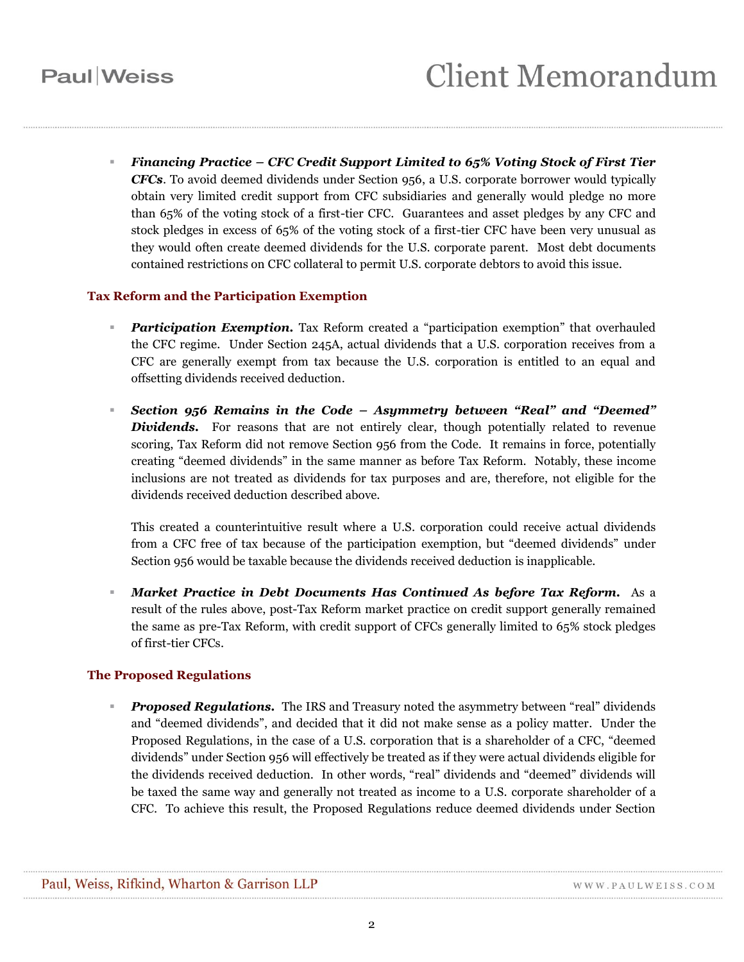*Financing Practice – CFC Credit Support Limited to 65% Voting Stock of First Tier CFCs*. To avoid deemed dividends under Section 956, a U.S. corporate borrower would typically obtain very limited credit support from CFC subsidiaries and generally would pledge no more than 65% of the voting stock of a first-tier CFC. Guarantees and asset pledges by any CFC and stock pledges in excess of 65% of the voting stock of a first-tier CFC have been very unusual as they would often create deemed dividends for the U.S. corporate parent. Most debt documents contained restrictions on CFC collateral to permit U.S. corporate debtors to avoid this issue.

#### **Tax Reform and the Participation Exemption**

- *Participation Exemption.* Tax Reform created a "participation exemption" that overhauled the CFC regime. Under Section 245A, actual dividends that a U.S. corporation receives from a CFC are generally exempt from tax because the U.S. corporation is entitled to an equal and offsetting dividends received deduction.
- *Section 956 Remains in the Code – Asymmetry between "Real" and "Deemed"*  **Dividends.** For reasons that are not entirely clear, though potentially related to revenue scoring, Tax Reform did not remove Section 956 from the Code. It remains in force, potentially creating "deemed dividends" in the same manner as before Tax Reform. Notably, these income inclusions are not treated as dividends for tax purposes and are, therefore, not eligible for the dividends received deduction described above.

This created a counterintuitive result where a U.S. corporation could receive actual dividends from a CFC free of tax because of the participation exemption, but "deemed dividends" under Section 956 would be taxable because the dividends received deduction is inapplicable.

 *Market Practice in Debt Documents Has Continued As before Tax Reform.* As a result of the rules above, post-Tax Reform market practice on credit support generally remained the same as pre-Tax Reform, with credit support of CFCs generally limited to 65% stock pledges of first-tier CFCs.

#### **The Proposed Regulations**

**Proposed Regulations.** The IRS and Treasury noted the asymmetry between "real" dividends and "deemed dividends", and decided that it did not make sense as a policy matter. Under the Proposed Regulations, in the case of a U.S. corporation that is a shareholder of a CFC, "deemed dividends" under Section 956 will effectively be treated as if they were actual dividends eligible for the dividends received deduction. In other words, "real" dividends and "deemed" dividends will be taxed the same way and generally not treated as income to a U.S. corporate shareholder of a CFC. To achieve this result, the Proposed Regulations reduce deemed dividends under Section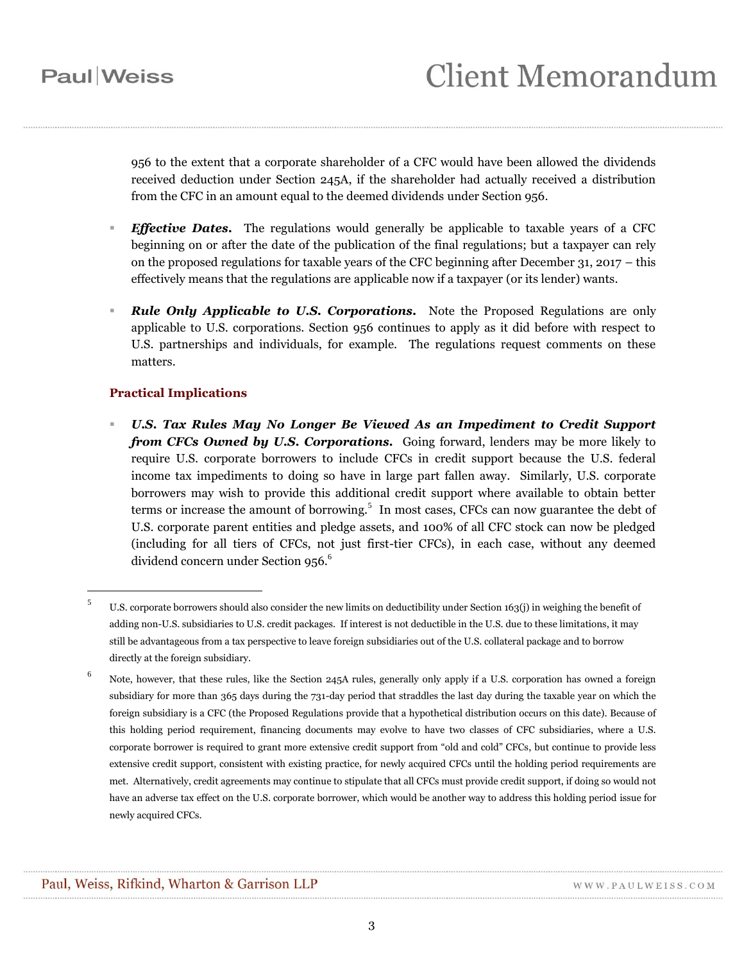## **Paul** Weiss

 $\overline{a}$ 

956 to the extent that a corporate shareholder of a CFC would have been allowed the dividends received deduction under Section 245A, if the shareholder had actually received a distribution from the CFC in an amount equal to the deemed dividends under Section 956.

- *Effective Dates.* The regulations would generally be applicable to taxable years of a CFC beginning on or after the date of the publication of the final regulations; but a taxpayer can rely on the proposed regulations for taxable years of the CFC beginning after December 31,  $2017 -$  this effectively means that the regulations are applicable now if a taxpayer (or its lender) wants.
- *Rule Only Applicable to U.S. Corporations.* Note the Proposed Regulations are only applicable to U.S. corporations. Section 956 continues to apply as it did before with respect to U.S. partnerships and individuals, for example. The regulations request comments on these matters.

#### **Practical Implications**

 *U.S. Tax Rules May No Longer Be Viewed As an Impediment to Credit Support from CFCs Owned by U.S. Corporations.* Going forward, lenders may be more likely to require U.S. corporate borrowers to include CFCs in credit support because the U.S. federal income tax impediments to doing so have in large part fallen away. Similarly, U.S. corporate borrowers may wish to provide this additional credit support where available to obtain better terms or increase the amount of borrowing.<sup>5</sup> In most cases, CFCs can now guarantee the debt of U.S. corporate parent entities and pledge assets, and 100% of all CFC stock can now be pledged (including for all tiers of CFCs, not just first-tier CFCs), in each case, without any deemed dividend concern under Section 956.<sup>6</sup>

<sup>5</sup> U.S. corporate borrowers should also consider the new limits on deductibility under Section 163(j) in weighing the benefit of adding non-U.S. subsidiaries to U.S. credit packages. If interest is not deductible in the U.S. due to these limitations, it may still be advantageous from a tax perspective to leave foreign subsidiaries out of the U.S. collateral package and to borrow directly at the foreign subsidiary.

<sup>&</sup>lt;sup>6</sup> Note, however, that these rules, like the Section 245A rules, generally only apply if a U.S. corporation has owned a foreign subsidiary for more than 365 days during the 731-day period that straddles the last day during the taxable year on which the foreign subsidiary is a CFC (the Proposed Regulations provide that a hypothetical distribution occurs on this date). Because of this holding period requirement, financing documents may evolve to have two classes of CFC subsidiaries, where a U.S. corporate borrower is required to grant more extensive credit support from "old and cold" CFCs, but continue to provide less extensive credit support, consistent with existing practice, for newly acquired CFCs until the holding period requirements are met. Alternatively, credit agreements may continue to stipulate that all CFCs must provide credit support, if doing so would not have an adverse tax effect on the U.S. corporate borrower, which would be another way to address this holding period issue for newly acquired CFCs.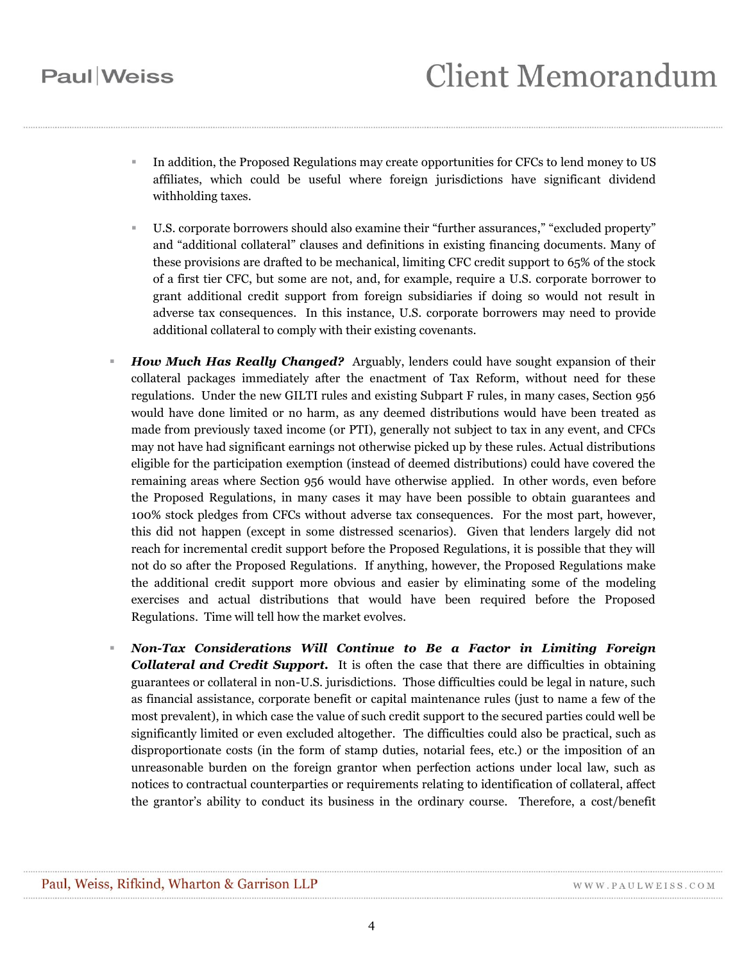## **Paul** Weiss

- In addition, the Proposed Regulations may create opportunities for CFCs to lend money to US affiliates, which could be useful where foreign jurisdictions have significant dividend withholding taxes.
- U.S. corporate borrowers should also examine their "further assurances," "excluded property" and "additional collateral" clauses and definitions in existing financing documents. Many of these provisions are drafted to be mechanical, limiting CFC credit support to 65% of the stock of a first tier CFC, but some are not, and, for example, require a U.S. corporate borrower to grant additional credit support from foreign subsidiaries if doing so would not result in adverse tax consequences. In this instance, U.S. corporate borrowers may need to provide additional collateral to comply with their existing covenants.
- *How Much Has Really Changed?* Arguably, lenders could have sought expansion of their collateral packages immediately after the enactment of Tax Reform, without need for these regulations. Under the new GILTI rules and existing Subpart F rules, in many cases, Section 956 would have done limited or no harm, as any deemed distributions would have been treated as made from previously taxed income (or PTI), generally not subject to tax in any event, and CFCs may not have had significant earnings not otherwise picked up by these rules. Actual distributions eligible for the participation exemption (instead of deemed distributions) could have covered the remaining areas where Section 956 would have otherwise applied. In other words, even before the Proposed Regulations, in many cases it may have been possible to obtain guarantees and 100% stock pledges from CFCs without adverse tax consequences. For the most part, however, this did not happen (except in some distressed scenarios). Given that lenders largely did not reach for incremental credit support before the Proposed Regulations, it is possible that they will not do so after the Proposed Regulations. If anything, however, the Proposed Regulations make the additional credit support more obvious and easier by eliminating some of the modeling exercises and actual distributions that would have been required before the Proposed Regulations. Time will tell how the market evolves.
- *Non-Tax Considerations Will Continue to Be a Factor in Limiting Foreign Collateral and Credit Support.* It is often the case that there are difficulties in obtaining guarantees or collateral in non-U.S. jurisdictions. Those difficulties could be legal in nature, such as financial assistance, corporate benefit or capital maintenance rules (just to name a few of the most prevalent), in which case the value of such credit support to the secured parties could well be significantly limited or even excluded altogether. The difficulties could also be practical, such as disproportionate costs (in the form of stamp duties, notarial fees, etc.) or the imposition of an unreasonable burden on the foreign grantor when perfection actions under local law, such as notices to contractual counterparties or requirements relating to identification of collateral, affect the grantor's ability to conduct its business in the ordinary course. Therefore, a cost/benefit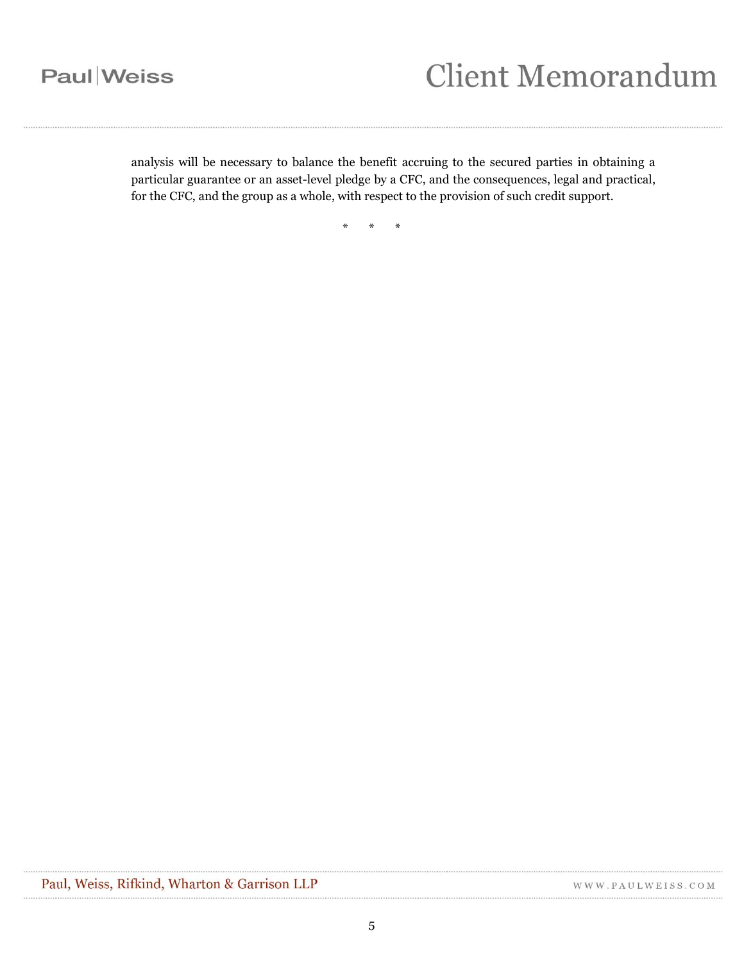# **Client Memorandum**

analysis will be necessary to balance the benefit accruing to the secured parties in obtaining a particular guarantee or an asset-level pledge by a CFC, and the consequences, legal and practical, for the CFC, and the group as a whole, with respect to the provision of such credit support.

\* \* \*